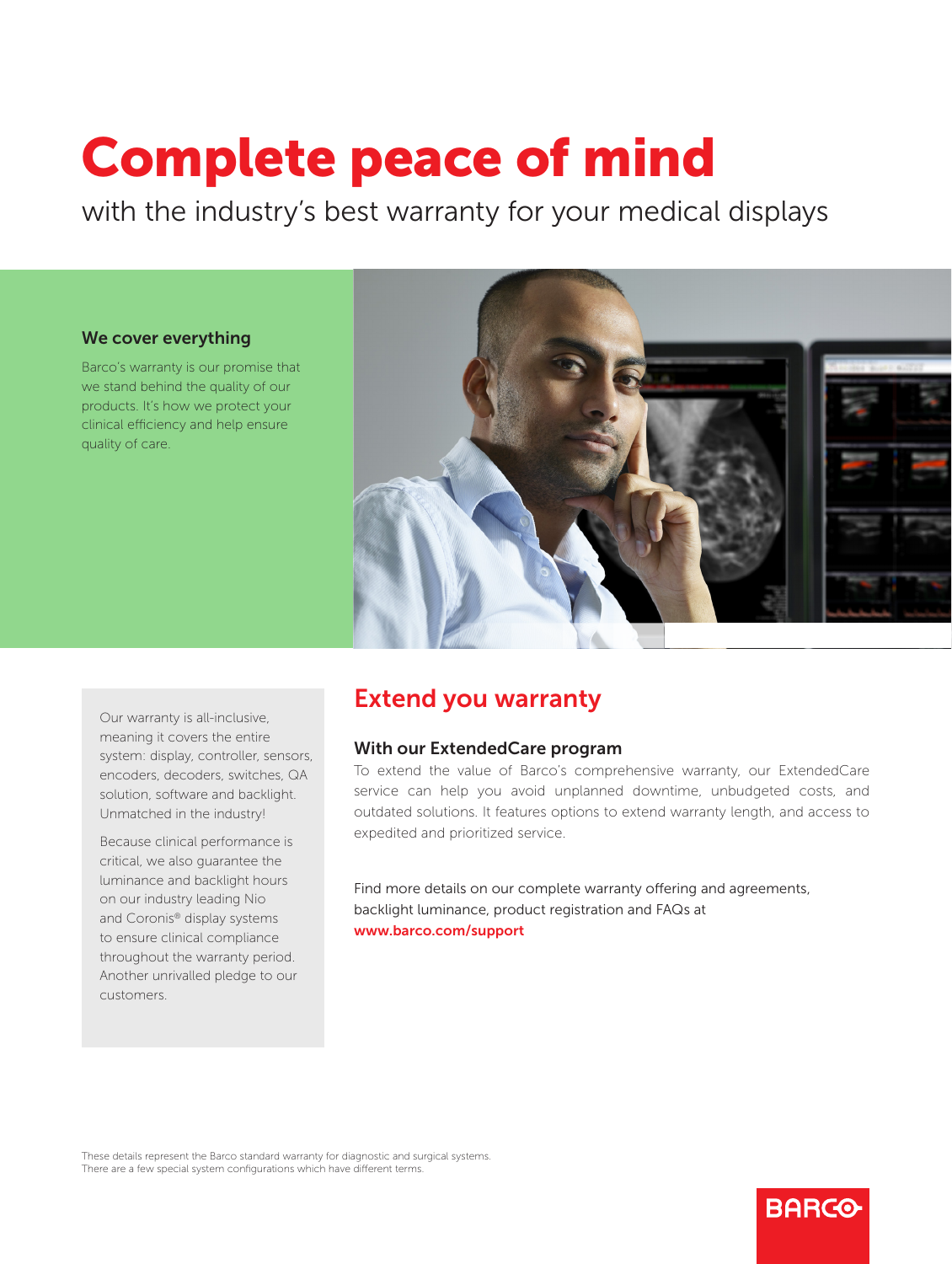# Complete peace of mind

with the industry's best warranty for your medical displays

## We cover everything

Barco's warranty is our promise that we stand behind the quality of our products. It's how we protect your clinical efficiency and help ensure quality of care.



Our warranty is all-inclusive, meaning it covers the entire system: display, controller, sensors, encoders, decoders, switches, QA solution, software and backlight. Unmatched in the industry!

Because clinical performance is critical, we also guarantee the luminance and backlight hours on our industry leading Nio and Coronis® display systems to ensure clinical compliance throughout the warranty period. Another unrivalled pledge to our customers.

# Extend you warranty

## With our ExtendedCare program

To extend the value of Barco's comprehensive warranty, our ExtendedCare service can help you avoid unplanned downtime, unbudgeted costs, and outdated solutions. It features options to extend warranty length, and access to expedited and prioritized service.

**BARCO** 

Find more details on our complete warranty offering and agreements, backlight luminance, product registration and FAQs at www.barco.com/support

These details represent the Barco standard warranty for diagnostic and surgical systems. There are a few special system configurations which have different terms.